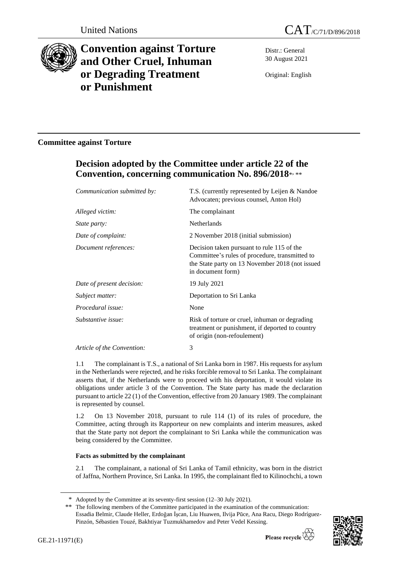



# **Convention against Torture and Other Cruel, Inhuman or Degrading Treatment or Punishment**

Distr.: General 30 August 2021

Original: English

### **Committee against Torture**

## **Decision adopted by the Committee under article 22 of the Convention, concerning communication No. 896/2018**\* , \*\*

| Communication submitted by: | T.S. (currently represented by Leijen & Nandoe<br>Advocaten; previous counsel, Anton Hol)                                                                            |
|-----------------------------|----------------------------------------------------------------------------------------------------------------------------------------------------------------------|
| Alleged victim:             | The complainant                                                                                                                                                      |
| <i>State party:</i>         | Netherlands                                                                                                                                                          |
| Date of complaint:          | 2 November 2018 (initial submission)                                                                                                                                 |
| Document references:        | Decision taken pursuant to rule 115 of the<br>Committee's rules of procedure, transmitted to<br>the State party on 13 November 2018 (not issued<br>in document form) |
| Date of present decision:   | 19 July 2021                                                                                                                                                         |
| Subject matter:             | Deportation to Sri Lanka                                                                                                                                             |
| Procedural issue:           | None                                                                                                                                                                 |
| Substantive issue:          | Risk of torture or cruel, inhuman or degrading<br>treatment or punishment, if deported to country<br>of origin (non-refoulement)                                     |
| Article of the Convention:  | 3                                                                                                                                                                    |

1.1 The complainant is T.S., a national of Sri Lanka born in 1987. His requests for asylum in the Netherlands were rejected, and he risks forcible removal to Sri Lanka. The complainant asserts that, if the Netherlands were to proceed with his deportation, it would violate its obligations under article 3 of the Convention. The State party has made the declaration pursuant to article 22 (1) of the Convention, effective from 20 January 1989. The complainant is represented by counsel.

1.2 On 13 November 2018, pursuant to rule 114 (1) of its rules of procedure, the Committee, acting through its Rapporteur on new complaints and interim measures, asked that the State party not deport the complainant to Sri Lanka while the communication was being considered by the Committee.

#### **Facts as submitted by the complainant**

2.1 The complainant, a national of Sri Lanka of Tamil ethnicity, was born in the district of Jaffna, Northern Province, Sri Lanka. In 1995, the complainant fled to Kilinochchi, a town

<sup>\*\*</sup> The following members of the Committee participated in the examination of the communication: Essadia Belmir, Claude Heller, Erdoğan İşcan, Liu Huawen, Ilvija Pūce, Ana Racu, Diego Rodríguez-Pinzón, Sébastien Touzé, Bakhtiyar Tuzmukhamedov and Peter Vedel Kessing.



<sup>\*</sup> Adopted by the Committee at its seventy-first session (12–30 July 2021).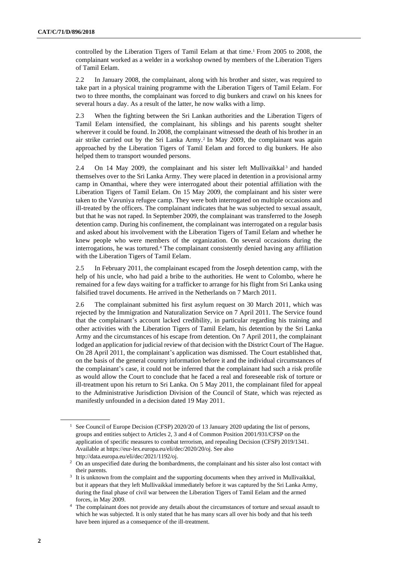controlled by the Liberation Tigers of Tamil Eelam at that time.<sup>1</sup> From 2005 to 2008, the complainant worked as a welder in a workshop owned by members of the Liberation Tigers of Tamil Eelam.

2.2 In January 2008, the complainant, along with his brother and sister, was required to take part in a physical training programme with the Liberation Tigers of Tamil Eelam. For two to three months, the complainant was forced to dig bunkers and crawl on his knees for several hours a day. As a result of the latter, he now walks with a limp.

2.3 When the fighting between the Sri Lankan authorities and the Liberation Tigers of Tamil Eelam intensified, the complainant, his siblings and his parents sought shelter wherever it could be found. In 2008, the complainant witnessed the death of his brother in an air strike carried out by the Sri Lanka Army.<sup>2</sup> In May 2009, the complainant was again approached by the Liberation Tigers of Tamil Eelam and forced to dig bunkers. He also helped them to transport wounded persons.

2.4 On 14 May 2009, the complainant and his sister left Mullivaikkal<sup>3</sup> and handed themselves over to the Sri Lanka Army. They were placed in detention in a provisional army camp in Omanthai, where they were interrogated about their potential affiliation with the Liberation Tigers of Tamil Eelam. On 15 May 2009, the complainant and his sister were taken to the Vavuniya refugee camp. They were both interrogated on multiple occasions and ill-treated by the officers. The complainant indicates that he was subjected to sexual assault, but that he was not raped. In September 2009, the complainant was transferred to the Joseph detention camp. During his confinement, the complainant was interrogated on a regular basis and asked about his involvement with the Liberation Tigers of Tamil Eelam and whether he knew people who were members of the organization. On several occasions during the interrogations, he was tortured.<sup>4</sup> The complainant consistently denied having any affiliation with the Liberation Tigers of Tamil Eelam.

2.5 In February 2011, the complainant escaped from the Joseph detention camp, with the help of his uncle, who had paid a bribe to the authorities. He went to Colombo, where he remained for a few days waiting for a trafficker to arrange for his flight from Sri Lanka using falsified travel documents. He arrived in the Netherlands on 7 March 2011.

2.6 The complainant submitted his first asylum request on 30 March 2011, which was rejected by the Immigration and Naturalization Service on 7 April 2011. The Service found that the complainant's account lacked credibility, in particular regarding his training and other activities with the Liberation Tigers of Tamil Eelam, his detention by the Sri Lanka Army and the circumstances of his escape from detention. On 7 April 2011, the complainant lodged an application for judicial review of that decision with the District Court of The Hague. On 28 April 2011, the complainant's application was dismissed. The Court established that, on the basis of the general country information before it and the individual circumstances of the complainant's case, it could not be inferred that the complainant had such a risk profile as would allow the Court to conclude that he faced a real and foreseeable risk of torture or ill-treatment upon his return to Sri Lanka. On 5 May 2011, the complainant filed for appeal to the Administrative Jurisdiction Division of the Council of State, which was rejected as manifestly unfounded in a decision dated 19 May 2011.

<sup>&</sup>lt;sup>1</sup> See Council of Europe Decision (CFSP) 2020/20 of 13 January 2020 updating the list of persons, groups and entities subject to Articles 2, 3 and 4 of Common Position 2001/931/CFSP on the application of specific measures to combat terrorism, and repealing Decision (CFSP) 2019/1341. Available at https://eur-lex.europa.eu/eli/dec/2020/20/oj. See also http://data.europa.eu/eli/dec/2021/1192/oj.

<sup>&</sup>lt;sup>2</sup> On an unspecified date during the bombardments, the complainant and his sister also lost contact with their parents.

<sup>&</sup>lt;sup>3</sup> It is unknown from the complaint and the supporting documents when they arrived in Mullivaikkal, but it appears that they left Mullivaikkal immediately before it was captured by the Sri Lanka Army, during the final phase of civil war between the Liberation Tigers of Tamil Eelam and the armed forces, in May 2009.

<sup>&</sup>lt;sup>4</sup> The complainant does not provide any details about the circumstances of torture and sexual assault to which he was subjected. It is only stated that he has many scars all over his body and that his teeth have been injured as a consequence of the ill-treatment.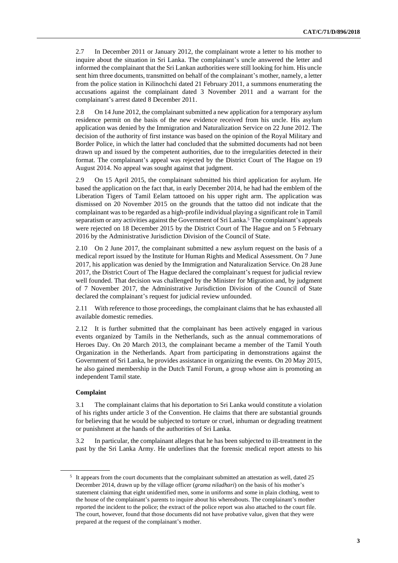2.7 In December 2011 or January 2012, the complainant wrote a letter to his mother to inquire about the situation in Sri Lanka. The complainant's uncle answered the letter and informed the complainant that the Sri Lankan authorities were still looking for him. His uncle sent him three documents, transmitted on behalf of the complainant's mother, namely, a letter from the police station in Kilinochchi dated 21 February 2011, a summons enumerating the accusations against the complainant dated 3 November 2011 and a warrant for the complainant's arrest dated 8 December 2011.

2.8 On 14 June 2012, the complainant submitted a new application for a temporary asylum residence permit on the basis of the new evidence received from his uncle. His asylum application was denied by the Immigration and Naturalization Service on 22 June 2012. The decision of the authority of first instance was based on the opinion of the Royal Military and Border Police, in which the latter had concluded that the submitted documents had not been drawn up and issued by the competent authorities, due to the irregularities detected in their format. The complainant's appeal was rejected by the District Court of The Hague on 19 August 2014. No appeal was sought against that judgment.

2.9 On 15 April 2015, the complainant submitted his third application for asylum. He based the application on the fact that, in early December 2014, he had had the emblem of the Liberation Tigers of Tamil Eelam tattooed on his upper right arm. The application was dismissed on 20 November 2015 on the grounds that the tattoo did not indicate that the complainant was to be regarded as a high-profile individual playing a significant role in Tamil separatism or any activities against the Government of Sri Lanka.<sup>5</sup> The complainant's appeals were rejected on 18 December 2015 by the District Court of The Hague and on 5 February 2016 by the Administrative Jurisdiction Division of the Council of State.

2.10 On 2 June 2017, the complainant submitted a new asylum request on the basis of a medical report issued by the Institute for Human Rights and Medical Assessment. On 7 June 2017, his application was denied by the Immigration and Naturalization Service. On 28 June 2017, the District Court of The Hague declared the complainant's request for judicial review well founded. That decision was challenged by the Minister for Migration and, by judgment of 7 November 2017, the Administrative Jurisdiction Division of the Council of State declared the complainant's request for judicial review unfounded.

2.11 With reference to those proceedings, the complainant claims that he has exhausted all available domestic remedies.

2.12 It is further submitted that the complainant has been actively engaged in various events organized by Tamils in the Netherlands, such as the annual commemorations of Heroes Day. On 20 March 2013, the complainant became a member of the Tamil Youth Organization in the Netherlands. Apart from participating in demonstrations against the Government of Sri Lanka, he provides assistance in organizing the events. On 20 May 2015, he also gained membership in the Dutch Tamil Forum, a group whose aim is promoting an independent Tamil state.

#### **Complaint**

3.1 The complainant claims that his deportation to Sri Lanka would constitute a violation of his rights under article 3 of the Convention. He claims that there are substantial grounds for believing that he would be subjected to torture or cruel, inhuman or degrading treatment or punishment at the hands of the authorities of Sri Lanka.

3.2 In particular, the complainant alleges that he has been subjected to ill-treatment in the past by the Sri Lanka Army. He underlines that the forensic medical report attests to his

<sup>&</sup>lt;sup>5</sup> It appears from the court documents that the complainant submitted an attestation as well, dated 25 December 2014, drawn up by the village officer (*grama niladhari*) on the basis of his mother's statement claiming that eight unidentified men, some in uniforms and some in plain clothing, went to the house of the complainant's parents to inquire about his whereabouts. The complainant's mother reported the incident to the police; the extract of the police report was also attached to the court file. The court, however, found that those documents did not have probative value, given that they were prepared at the request of the complainant's mother.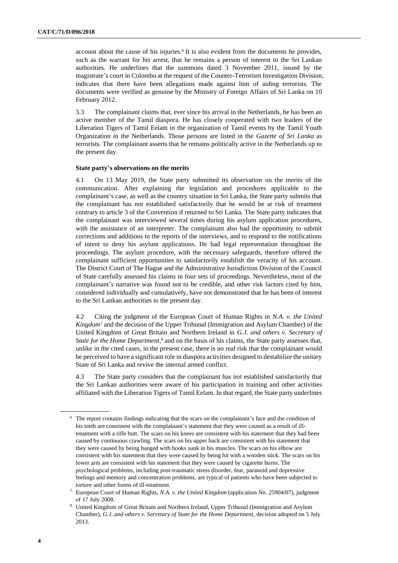account about the cause of his injuries.<sup>6</sup> It is also evident from the documents he provides, such as the warrant for his arrest, that he remains a person of interest to the Sri Lankan authorities. He underlines that the summons dated 3 November 2011, issued by the magistrate's court in Colombo at the request of the Counter-Terrorism Investigation Division, indicates that there have been allegations made against him of aiding terrorists. The documents were verified as genuine by the Ministry of Foreign Affairs of Sri Lanka on 10 February 2012.

3.3 The complainant claims that, ever since his arrival in the Netherlands, he has been an active member of the Tamil diaspora. He has closely cooperated with two leaders of the Liberation Tigers of Tamil Eelam in the organization of Tamil events by the Tamil Youth Organization in the Netherlands. Those persons are listed in the *Gazette of Sri Lanka* as terrorists. The complainant asserts that he remains politically active in the Netherlands up to the present day.

#### **State party's observations on the merits**

4.1 On 13 May 2019, the State party submitted its observation on the merits of the communication. After explaining the legislation and procedures applicable to the complainant's case, as well as the country situation in Sri Lanka, the State party submits that the complainant has not established satisfactorily that he would be at risk of treatment contrary to article 3 of the Convention if returned to Sri Lanka. The State party indicates that the complainant was interviewed several times during his asylum application procedures, with the assistance of an interpreter. The complainant also had the opportunity to submit corrections and additions to the reports of the interviews, and to respond to the notifications of intent to deny his asylum applications. He had legal representation throughout the proceedings. The asylum procedure, with the necessary safeguards, therefore offered the complainant sufficient opportunities to satisfactorily establish the veracity of his account. The District Court of The Hague and the Administrative Jurisdiction Division of the Council of State carefully assessed his claims in four sets of proceedings. Nevertheless, most of the complainant's narrative was found not to be credible, and other risk factors cited by him, considered individually and cumulatively, have not demonstrated that he has been of interest to the Sri Lankan authorities to the present day.

4.2 Citing the judgment of the European Court of Human Rights in *N.A. v. the United Kingdom*<sup>7</sup> and the decision of the Upper Tribunal (Immigration and Asylum Chamber) of the United Kingdom of Great Britain and Northern Ireland in *G.J. and others v. Secretary of State for the Home Department*, <sup>8</sup> and on the basis of his claims, the State party assesses that, unlike in the cited cases, in the present case, there is no real risk that the complainant would be perceived to have a significant role in diaspora activities designed to destabilize the unitary State of Sri Lanka and revive the internal armed conflict.

4.3 The State party considers that the complainant has not established satisfactorily that the Sri Lankan authorities were aware of his participation in training and other activities affiliated with the Liberation Tigers of Tamil Eelam. In that regard, the State party underlines

<sup>6</sup> The report contains findings indicating that the scars on the complainant's face and the condition of his teeth are consistent with the complainant's statement that they were caused as a result of illtreatment with a rifle butt. The scars on his knees are consistent with his statement that they had been caused by continuous crawling. The scars on his upper back are consistent with his statement that they were caused by being hanged with hooks sunk in his muscles. The scars on his elbow are consistent with his statement that they were caused by being hit with a wooden stick. The scars on his lower arm are consistent with his statement that they were caused by cigarette burns. The psychological problems, including post-traumatic stress disorder, fear, paranoid and depressive feelings and memory and concentration problems, are typical of patients who have been subjected to torture and other forms of ill-treatment.

<sup>7</sup> European Court of Human Rights, *N.A. v. the United Kingdom* (application No. 25904/07), judgment of 17 July 2008.

<sup>8</sup> United Kingdom of Great Britain and Northern Ireland, Upper Tribunal (Immigration and Asylum Chamber), *G.J. and others v. Secretary of State for the Home Department*, decision adopted on 5 July 2013.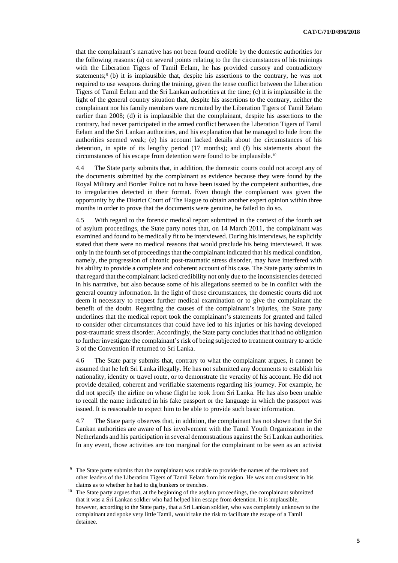that the complainant's narrative has not been found credible by the domestic authorities for the following reasons: (a) on several points relating to the the circumstances of his trainings with the Liberation Tigers of Tamil Eelam, he has provided cursory and contradictory statements;  $\phi$  (b) it is implausible that, despite his assertions to the contrary, he was not required to use weapons during the training, given the tense conflict between the Liberation Tigers of Tamil Eelam and the Sri Lankan authorities at the time; (c) it is implausible in the light of the general country situation that, despite his assertions to the contrary, neither the complainant nor his family members were recruited by the Liberation Tigers of Tamil Eelam earlier than 2008; (d) it is implausible that the complainant, despite his assertions to the contrary, had never participated in the armed conflict between the Liberation Tigers of Tamil Eelam and the Sri Lankan authorities, and his explanation that he managed to hide from the authorities seemed weak; (e) his account lacked details about the circumstances of his detention, in spite of its lengthy period (17 months); and (f) his statements about the circumstances of his escape from detention were found to be implausible.<sup>10</sup>

4.4 The State party submits that, in addition, the domestic courts could not accept any of the documents submitted by the complainant as evidence because they were found by the Royal Military and Border Police not to have been issued by the competent authorities, due to irregularities detected in their format. Even though the complainant was given the opportunity by the District Court of The Hague to obtain another expert opinion within three months in order to prove that the documents were genuine, he failed to do so.

4.5 With regard to the forensic medical report submitted in the context of the fourth set of asylum proceedings, the State party notes that, on 14 March 2011, the complainant was examined and found to be medically fit to be interviewed. During his interviews, he explicitly stated that there were no medical reasons that would preclude his being interviewed. It was only in the fourth set of proceedings that the complainant indicated that his medical condition, namely, the progression of chronic post-traumatic stress disorder, may have interfered with his ability to provide a complete and coherent account of his case. The State party submits in that regard that the complainant lacked credibility not only due to the inconsistencies detected in his narrative, but also because some of his allegations seemed to be in conflict with the general country information. In the light of those circumstances, the domestic courts did not deem it necessary to request further medical examination or to give the complainant the benefit of the doubt. Regarding the causes of the complainant's injuries, the State party underlines that the medical report took the complainant's statements for granted and failed to consider other circumstances that could have led to his injuries or his having developed post-traumatic stress disorder. Accordingly, the State party concludes that it had no obligation to further investigate the complainant's risk of being subjected to treatment contrary to article 3 of the Convention if returned to Sri Lanka.

4.6 The State party submits that, contrary to what the complainant argues, it cannot be assumed that he left Sri Lanka illegally. He has not submitted any documents to establish his nationality, identity or travel route, or to demonstrate the veracity of his account. He did not provide detailed, coherent and verifiable statements regarding his journey. For example, he did not specify the airline on whose flight he took from Sri Lanka. He has also been unable to recall the name indicated in his fake passport or the language in which the passport was issued. It is reasonable to expect him to be able to provide such basic information.

4.7 The State party observes that, in addition, the complainant has not shown that the Sri Lankan authorities are aware of his involvement with the Tamil Youth Organization in the Netherlands and his participation in several demonstrations against the Sri Lankan authorities. In any event, those activities are too marginal for the complainant to be seen as an activist

<sup>9</sup> The State party submits that the complainant was unable to provide the names of the trainers and other leaders of the Liberation Tigers of Tamil Eelam from his region. He was not consistent in his claims as to whether he had to dig bunkers or trenches.

<sup>&</sup>lt;sup>10</sup> The State party argues that, at the beginning of the asylum proceedings, the complainant submitted that it was a Sri Lankan soldier who had helped him escape from detention. It is implausible, however, according to the State party, that a Sri Lankan soldier, who was completely unknown to the complainant and spoke very little Tamil, would take the risk to facilitate the escape of a Tamil detainee.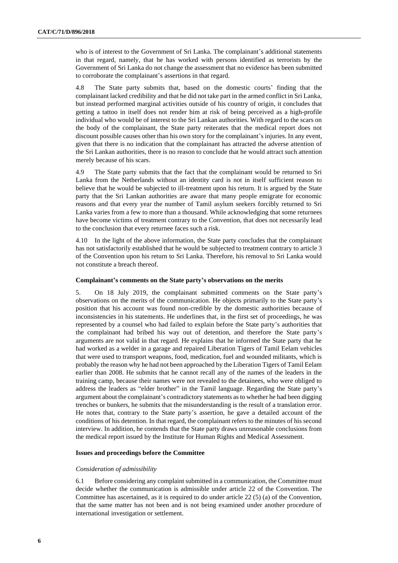who is of interest to the Government of Sri Lanka. The complainant's additional statements in that regard, namely, that he has worked with persons identified as terrorists by the Government of Sri Lanka do not change the assessment that no evidence has been submitted to corroborate the complainant's assertions in that regard.

4.8 The State party submits that, based on the domestic courts' finding that the complainant lacked credibility and that he did not take part in the armed conflict in Sri Lanka, but instead performed marginal activities outside of his country of origin, it concludes that getting a tattoo in itself does not render him at risk of being perceived as a high-profile individual who would be of interest to the Sri Lankan authorities. With regard to the scars on the body of the complainant, the State party reiterates that the medical report does not discount possible causes other than his own story for the complainant's injuries. In any event, given that there is no indication that the complainant has attracted the adverse attention of the Sri Lankan authorities, there is no reason to conclude that he would attract such attention merely because of his scars.

4.9 The State party submits that the fact that the complainant would be returned to Sri Lanka from the Netherlands without an identity card is not in itself sufficient reason to believe that he would be subjected to ill-treatment upon his return. It is argued by the State party that the Sri Lankan authorities are aware that many people emigrate for economic reasons and that every year the number of Tamil asylum seekers forcibly returned to Sri Lanka varies from a few to more than a thousand. While acknowledging that some returnees have become victims of treatment contrary to the Convention, that does not necessarily lead to the conclusion that every returnee faces such a risk.

4.10 In the light of the above information, the State party concludes that the complainant has not satisfactorily established that he would be subjected to treatment contrary to article 3 of the Convention upon his return to Sri Lanka. Therefore, his removal to Sri Lanka would not constitute a breach thereof.

#### **Complainant's comments on the State party's observations on the merits**

5. On 18 July 2019, the complainant submitted comments on the State party's observations on the merits of the communication. He objects primarily to the State party's position that his account was found non-credible by the domestic authorities because of inconsistencies in his statements. He underlines that, in the first set of proceedings, he was represented by a counsel who had failed to explain before the State party's authorities that the complainant had bribed his way out of detention, and therefore the State party's arguments are not valid in that regard. He explains that he informed the State party that he had worked as a welder in a garage and repaired Liberation Tigers of Tamil Eelam vehicles that were used to transport weapons, food, medication, fuel and wounded militants, which is probably the reason why he had not been approached by the Liberation Tigers of Tamil Eelam earlier than 2008. He submits that he cannot recall any of the names of the leaders in the training camp, because their names were not revealed to the detainees, who were obliged to address the leaders as "elder brother" in the Tamil language. Regarding the State party's argument about the complainant's contradictory statements as to whether he had been digging trenches or bunkers, he submits that the misunderstanding is the result of a translation error. He notes that, contrary to the State party's assertion, he gave a detailed account of the conditions of his detention. In that regard, the complainant refers to the minutes of his second interview. In addition, he contends that the State party draws unreasonable conclusions from the medical report issued by the Institute for Human Rights and Medical Assessment.

#### **Issues and proceedings before the Committee**

#### *Consideration of admissibility*

6.1 Before considering any complaint submitted in a communication, the Committee must decide whether the communication is admissible under article 22 of the Convention. The Committee has ascertained, as it is required to do under article 22 (5) (a) of the Convention, that the same matter has not been and is not being examined under another procedure of international investigation or settlement.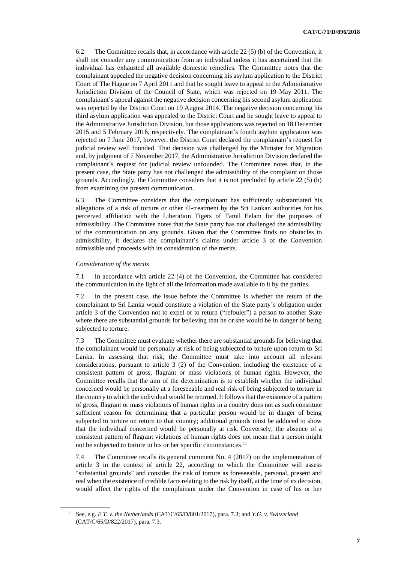6.2 The Committee recalls that, in accordance with article 22 (5) (b) of the Convention, it shall not consider any communication from an individual unless it has ascertained that the individual has exhausted all available domestic remedies. The Committee notes that the complainant appealed the negative decision concerning his asylum application to the District Court of The Hague on 7 April 2011 and that he sought leave to appeal to the Administrative Jurisdiction Division of the Council of State, which was rejected on 19 May 2011. The complainant's appeal against the negative decision concerning his second asylum application was rejected by the District Court on 19 August 2014. The negative decision concerning his third asylum application was appealed to the District Court and he sought leave to appeal to the Administrative Jurisdiction Division, but those applications was rejected on 18 December 2015 and 5 February 2016, respectively. The complainant's fourth asylum application was rejected on 7 June 2017, however, the District Court declared the complainant's request for judicial review well founded. That decision was challenged by the Minister for Migration and, by judgment of 7 November 2017, the Administrative Jurisdiction Division declared the complainant's request for judicial review unfounded. The Committee notes that, in the present case, the State party has not challenged the admissibility of the complaint on those grounds. Accordingly, the Committee considers that it is not precluded by article 22 (5) (b) from examining the present communication.

6.3 The Committee considers that the complainant has sufficiently substantiated his allegations of a risk of torture or other ill-treatment by the Sri Lankan authorities for his perceived affiliation with the Liberation Tigers of Tamil Eelam for the purposes of admissibility. The Committee notes that the State party has not challenged the admissibility of the communication on any grounds. Given that the Committee finds no obstacles to admissibility, it declares the complainant's claims under article 3 of the Convention admissible and proceeds with its consideration of the merits.

#### *Consideration of the merits*

7.1 In accordance with article 22 (4) of the Convention, the Committee has considered the communication in the light of all the information made available to it by the parties.

7.2 In the present case, the issue before the Committee is whether the return of the complainant to Sri Lanka would constitute a violation of the State party's obligation under article 3 of the Convention not to expel or to return ("refouler") a person to another State where there are substantial grounds for believing that he or she would be in danger of being subjected to torture.

7.3 The Committee must evaluate whether there are substantial grounds for believing that the complainant would be personally at risk of being subjected to torture upon return to Sri Lanka. In assessing that risk, the Committee must take into account all relevant considerations, pursuant to article 3 (2) of the Convention, including the existence of a consistent pattern of gross, flagrant or mass violations of human rights. However, the Committee recalls that the aim of the determination is to establish whether the individual concerned would be personally at a foreseeable and real risk of being subjected to torture in the country to which the individual would be returned.It follows that the existence of a pattern of gross, flagrant or mass violations of human rights in a country does not as such constitute sufficient reason for determining that a particular person would be in danger of being subjected to torture on return to that country; additional grounds must be adduced to show that the individual concerned would be personally at risk. Conversely, the absence of a consistent pattern of flagrant violations of human rights does not mean that a person might not be subjected to torture in his or her specific circumstances.<sup>11</sup>

7.4 The Committee recalls its general comment No. 4 (2017) on the implementation of article 3 in the context of article 22, according to which the Committee will assess "substantial grounds" and consider the risk of torture as foreseeable, personal, present and real when the existence of credible facts relating to the risk by itself, at the time of its decision, would affect the rights of the complainant under the Convention in case of his or her

<sup>11</sup> See, e.g. *E.T. v. the Netherlands* (CAT/C/65/D/801/2017), para. 7.3; and *Y.G. v. Switzerland* (CAT/C/65/D/822/2017), para. 7.3.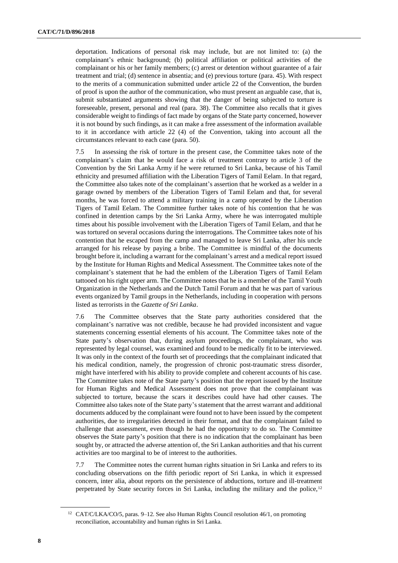deportation. Indications of personal risk may include, but are not limited to: (a) the complainant's ethnic background; (b) political affiliation or political activities of the complainant or his or her family members; (c) arrest or detention without guarantee of a fair treatment and trial; (d) sentence in absentia; and (e) previous torture (para. 45). With respect to the merits of a communication submitted under article 22 of the Convention, the burden of proof is upon the author of the communication, who must present an arguable case, that is, submit substantiated arguments showing that the danger of being subjected to torture is foreseeable, present, personal and real (para. 38). The Committee also recalls that it gives considerable weight to findings of fact made by organs of the State party concerned, however it is not bound by such findings, as it can make a free assessment of the information available to it in accordance with article 22 (4) of the Convention, taking into account all the circumstances relevant to each case (para. 50).

7.5 In assessing the risk of torture in the present case, the Committee takes note of the complainant's claim that he would face a risk of treatment contrary to article 3 of the Convention by the Sri Lanka Army if he were returned to Sri Lanka, because of his Tamil ethnicity and presumed affiliation with the Liberation Tigers of Tamil Eelam. In that regard, the Committee also takes note of the complainant's assertion that he worked as a welder in a garage owned by members of the Liberation Tigers of Tamil Eelam and that, for several months, he was forced to attend a military training in a camp operated by the Liberation Tigers of Tamil Eelam. The Committee further takes note of his contention that he was confined in detention camps by the Sri Lanka Army, where he was interrogated multiple times about his possible involvement with the Liberation Tigers of Tamil Eelam, and that he was tortured on several occasions during the interrogations. The Committee takes note of his contention that he escaped from the camp and managed to leave Sri Lanka, after his uncle arranged for his release by paying a bribe. The Committee is mindful of the documents brought before it, including a warrant for the complainant's arrest and a medical report issued by the Institute for Human Rights and Medical Assessment. The Committee takes note of the complainant's statement that he had the emblem of the Liberation Tigers of Tamil Eelam tattooed on his right upper arm. The Committee notes that he is a member of the Tamil Youth Organization in the Netherlands and the Dutch Tamil Forum and that he was part of various events organized by Tamil groups in the Netherlands, including in cooperation with persons listed as terrorists in the *Gazette of Sri Lanka*.

7.6 The Committee observes that the State party authorities considered that the complainant's narrative was not credible, because he had provided inconsistent and vague statements concerning essential elements of his account. The Committee takes note of the State party's observation that, during asylum proceedings, the complainant, who was represented by legal counsel, was examined and found to be medically fit to be interviewed. It was only in the context of the fourth set of proceedings that the complainant indicated that his medical condition, namely, the progression of chronic post-traumatic stress disorder, might have interfered with his ability to provide complete and coherent accounts of his case. The Committee takes note of the State party's position that the report issued by the Institute for Human Rights and Medical Assessment does not prove that the complainant was subjected to torture, because the scars it describes could have had other causes. The Committee also takes note of the State party's statement that the arrest warrant and additional documents adduced by the complainant were found not to have been issued by the competent authorities, due to irregularities detected in their format, and that the complainant failed to challenge that assessment, even though he had the opportunity to do so. The Committee observes the State party's position that there is no indication that the complainant has been sought by, or attracted the adverse attention of, the Sri Lankan authorities and that his current activities are too marginal to be of interest to the authorities.

7.7 The Committee notes the current human rights situation in Sri Lanka and refers to its concluding observations on the fifth periodic report of Sri Lanka, in which it expressed concern, inter alia, about reports on the persistence of abductions, torture and ill-treatment perpetrated by State security forces in Sri Lanka, including the military and the police,<sup>12</sup>

<sup>&</sup>lt;sup>12</sup> CAT/C/LKA/CO/5, paras. 9–12. See also Human Rights Council resolution 46/1, on promoting reconciliation, accountability and human rights in Sri Lanka.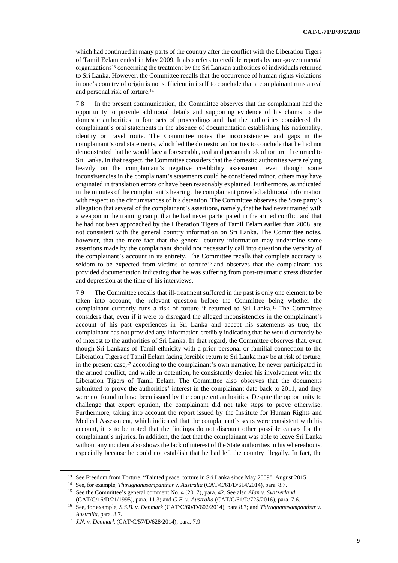which had continued in many parts of the country after the conflict with the Liberation Tigers of Tamil Eelam ended in May 2009. It also refers to credible reports by non-governmental organizations<sup>13</sup> concerning the treatment by the Sri Lankan authorities of individuals returned to Sri Lanka. However, the Committee recalls that the occurrence of human rights violations in one's country of origin is not sufficient in itself to conclude that a complainant runs a real and personal risk of torture.<sup>14</sup>

7.8 In the present communication, the Committee observes that the complainant had the opportunity to provide additional details and supporting evidence of his claims to the domestic authorities in four sets of proceedings and that the authorities considered the complainant's oral statements in the absence of documentation establishing his nationality, identity or travel route. The Committee notes the inconsistencies and gaps in the complainant's oral statements, which led the domestic authorities to conclude that he had not demonstrated that he would face a foreseeable, real and personal risk of torture if returned to Sri Lanka. In that respect, the Committee considers that the domestic authorities were relying heavily on the complainant's negative credibility assessment, even though some inconsistencies in the complainant's statements could be considered minor, others may have originated in translation errors or have been reasonably explained. Furthermore, as indicated in the minutes of the complainant's hearing, the complainant provided additional information with respect to the circumstances of his detention. The Committee observes the State party's allegation that several of the complainant's assertions, namely, that he had never trained with a weapon in the training camp, that he had never participated in the armed conflict and that he had not been approached by the Liberation Tigers of Tamil Eelam earlier than 2008, are not consistent with the general country information on Sri Lanka. The Committee notes, however, that the mere fact that the general country information may undermine some assertions made by the complainant should not necessarily call into question the veracity of the complainant's account in its entirety. The Committee recalls that complete accuracy is seldom to be expected from victims of torture<sup>15</sup> and observes that the complainant has provided documentation indicating that he was suffering from post-traumatic stress disorder and depression at the time of his interviews.

7.9 The Committee recalls that ill-treatment suffered in the past is only one element to be taken into account, the relevant question before the Committee being whether the complainant currently runs a risk of torture if returned to Sri Lanka.<sup>16</sup> The Committee considers that, even if it were to disregard the alleged inconsistencies in the complainant's account of his past experiences in Sri Lanka and accept his statements as true, the complainant has not provided any information credibly indicating that he would currently be of interest to the authorities of Sri Lanka. In that regard, the Committee observes that, even though Sri Lankans of Tamil ethnicity with a prior personal or familial connection to the Liberation Tigers of Tamil Eelam facing forcible return to Sri Lanka may be at risk of torture, in the present case,<sup>17</sup> according to the complainant's own narrative, he never participated in the armed conflict, and while in detention, he consistently denied his involvement with the Liberation Tigers of Tamil Eelam. The Committee also observes that the documents submitted to prove the authorities' interest in the complainant date back to 2011, and they were not found to have been issued by the competent authorities. Despite the opportunity to challenge that expert opinion, the complainant did not take steps to prove otherwise. Furthermore, taking into account the report issued by the Institute for Human Rights and Medical Assessment, which indicated that the complainant's scars were consistent with his account, it is to be noted that the findings do not discount other possible causes for the complainant's injuries. In addition, the fact that the complainant was able to leave Sri Lanka without any incident also shows the lack of interest of the State authorities in his whereabouts, especially because he could not establish that he had left the country illegally. In fact, the

<sup>&</sup>lt;sup>13</sup> See Freedom from Torture, "Tainted peace: torture in Sri Lanka since May 2009", August 2015.

<sup>14</sup> See, for example, *Thirugnanasampanthar v. Australia* (CAT/C/61/D/614/2014), para. 8.7.

<sup>15</sup> See the Committee's general comment No. 4 (2017), para. 42. See also *Alan v. Switzerland* (CAT/C/16/D/21/1995), para. 11.3; and *G.E. v. Australia* (CAT/C/61/D/725/2016), para. 7.6.

<sup>16</sup> See, for example, *S.S.B. v. Denmark* (CAT/C/60/D/602/2014), para 8.7; and *Thirugnanasampanthar v. Australia*, para. 8.7.

<sup>17</sup> *J.N. v. Denmark* (CAT/C/57/D/628/2014), para. 7.9.